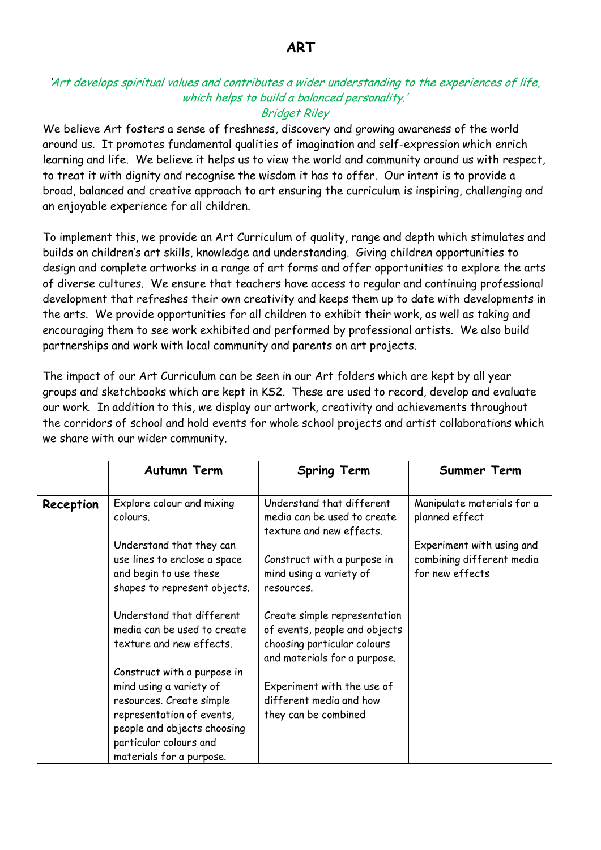## 'Art develops spiritual values and contributes a wider understanding to the experiences of life, which helps to build a balanced personality.'

## Bridget Riley

We believe Art fosters a sense of freshness, discovery and growing awareness of the world around us. It promotes fundamental qualities of imagination and self-expression which enrich learning and life. We believe it helps us to view the world and community around us with respect, to treat it with dignity and recognise the wisdom it has to offer. Our intent is to provide a broad, balanced and creative approach to art ensuring the curriculum is inspiring, challenging and an enjoyable experience for all children.

To implement this, we provide an Art Curriculum of quality, range and depth which stimulates and builds on children's art skills, knowledge and understanding. Giving children opportunities to design and complete artworks in a range of art forms and offer opportunities to explore the arts of diverse cultures. We ensure that teachers have access to regular and continuing professional development that refreshes their own creativity and keeps them up to date with developments in the arts. We provide opportunities for all children to exhibit their work, as well as taking and encouraging them to see work exhibited and performed by professional artists. We also build partnerships and work with local community and parents on art projects.

The impact of our Art Curriculum can be seen in our Art folders which are kept by all year groups and sketchbooks which are kept in KS2. These are used to record, develop and evaluate our work. In addition to this, we display our artwork, creativity and achievements throughout the corridors of school and hold events for whole school projects and artist collaborations which we share with our wider community.

|           | Autumn Term                                                                                                                                                                                          | <b>Spring Term</b>                                                                                                                                           | Summer Term                                                                                                               |
|-----------|------------------------------------------------------------------------------------------------------------------------------------------------------------------------------------------------------|--------------------------------------------------------------------------------------------------------------------------------------------------------------|---------------------------------------------------------------------------------------------------------------------------|
| Reception | Explore colour and mixing<br>colours.<br>Understand that they can<br>use lines to enclose a space<br>and begin to use these<br>shapes to represent objects.                                          | Understand that different<br>media can be used to create<br>texture and new effects.<br>Construct with a purpose in<br>mind using a variety of<br>resources. | Manipulate materials for a<br>planned effect<br>Experiment with using and<br>combining different media<br>for new effects |
|           | Understand that different<br>media can be used to create<br>texture and new effects.                                                                                                                 | Create simple representation<br>of events, people and objects<br>choosing particular colours<br>and materials for a purpose.                                 |                                                                                                                           |
|           | Construct with a purpose in<br>mind using a variety of<br>resources. Create simple<br>representation of events,<br>people and objects choosing<br>particular colours and<br>materials for a purpose. | Experiment with the use of<br>different media and how<br>they can be combined                                                                                |                                                                                                                           |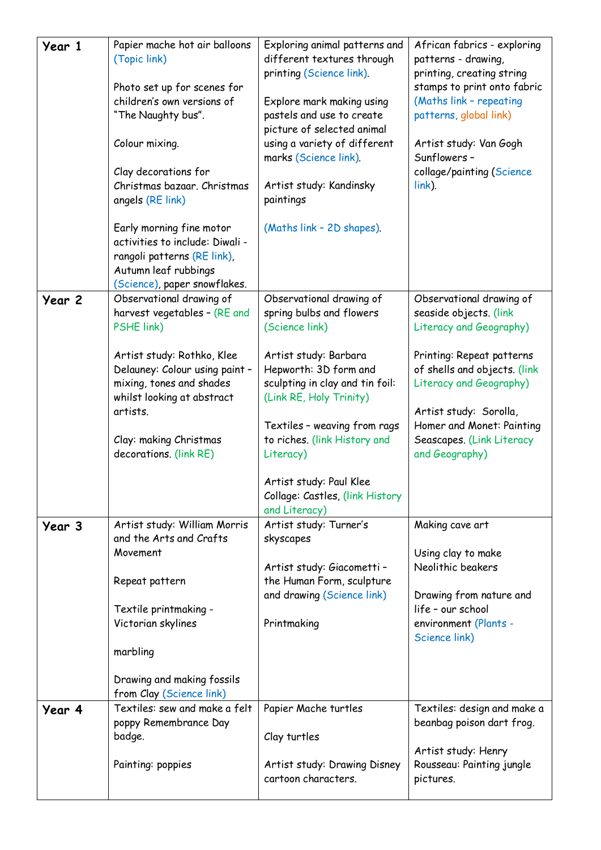| Year 1 | Papier mache hot air balloons<br>(Topic link)<br>Photo set up for scenes for<br>children's own versions of<br>"The Naughty bus".<br>Colour mixing.<br>Clay decorations for<br>Christmas bazaar. Christmas<br>angels (RE link)                                           | Exploring animal patterns and<br>different textures through<br>printing (Science link).<br>Explore mark making using<br>pastels and use to create<br>picture of selected animal<br>using a variety of different<br>marks (Science link).<br>Artist study: Kandinsky<br>paintings               | African fabrics - exploring<br>patterns - drawing,<br>printing, creating string<br>stamps to print onto fabric<br>(Maths link - repeating<br>patterns, global link)<br>Artist study: Van Gogh<br>Sunflowers -<br>collage/painting (Science<br>link).                        |
|--------|-------------------------------------------------------------------------------------------------------------------------------------------------------------------------------------------------------------------------------------------------------------------------|------------------------------------------------------------------------------------------------------------------------------------------------------------------------------------------------------------------------------------------------------------------------------------------------|-----------------------------------------------------------------------------------------------------------------------------------------------------------------------------------------------------------------------------------------------------------------------------|
|        | Early morning fine motor<br>activities to include: Diwali -<br>rangoli patterns (RE link),<br>Autumn leaf rubbings<br>(Science), paper snowflakes.                                                                                                                      | (Maths link - 2D shapes).                                                                                                                                                                                                                                                                      |                                                                                                                                                                                                                                                                             |
| Year 2 | Observational drawing of<br>harvest vegetables - (RE and<br><b>PSHE link)</b><br>Artist study: Rothko, Klee<br>Delauney: Colour using paint -<br>mixing, tones and shades<br>whilst looking at abstract<br>artists.<br>Clay: making Christmas<br>decorations. (link RE) | Observational drawing of<br>spring bulbs and flowers<br>(Science link)<br>Artist study: Barbara<br>Hepworth: 3D form and<br>sculpting in clay and tin foil:<br>(Link RE, Holy Trinity)<br>Textiles - weaving from rags<br>to riches. (link History and<br>Literacy)<br>Artist study: Paul Klee | Observational drawing of<br>seaside objects. (link<br>Literacy and Geography)<br>Printing: Repeat patterns<br>of shells and objects. (link<br>Literacy and Geography)<br>Artist study: Sorolla,<br>Homer and Monet: Painting<br>Seascapes. (Link Literacy<br>and Geography) |
| Year 3 | Artist study: William Morris<br>and the Arts and Crafts<br>Movement<br>Repeat pattern<br>Textile printmaking -<br>Victorian skylines<br>marbling<br>Drawing and making fossils<br>from Clay (Science link)                                                              | Collage: Castles, (link History<br>and Literacy)<br>Artist study: Turner's<br>skyscapes<br>Artist study: Giacometti -<br>the Human Form, sculpture<br>and drawing (Science link)<br>Printmaking                                                                                                | Making cave art<br>Using clay to make<br>Neolithic beakers<br>Drawing from nature and<br>life - our school<br>environment (Plants -<br>Science link)                                                                                                                        |
| Year 4 | Textiles: sew and make a felt<br>poppy Remembrance Day<br>badge.<br>Painting: poppies                                                                                                                                                                                   | Papier Mache turtles<br>Clay turtles<br>Artist study: Drawing Disney<br>cartoon characters.                                                                                                                                                                                                    | Textiles: design and make a<br>beanbag poison dart frog.<br>Artist study: Henry<br>Rousseau: Painting jungle<br>pictures.                                                                                                                                                   |